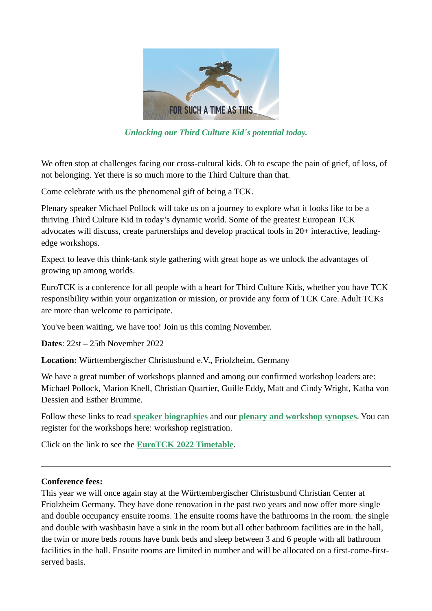

*Unlocking our Third Culture Kid´s potential today.* 

We often stop at challenges facing our cross-cultural kids. Oh to escape the pain of grief, of loss, of not belonging. Yet there is so much more to the Third Culture than that.

Come celebrate with us the phenomenal gift of being a TCK.

Plenary speaker Michael Pollock will take us on a journey to explore what it looks like to be a thriving Third Culture Kid in today's dynamic world. Some of the greatest European TCK advocates will discuss, create partnerships and develop practical tools in 20+ interactive, leadingedge workshops.

Expect to leave this think-tank style gathering with great hope as we unlock the advantages of growing up among worlds.

EuroTCK is a conference for all people with a heart for Third Culture Kids, whether you have TCK responsibility within your organization or mission, or provide any form of TCK Care. Adult TCKs are more than welcome to participate.

You've been waiting, we have too! Join us this coming November.

**Dates**: 22st – 25th November 2022

**Location:** Württembergischer Christusbund e.V., Friolzheim, Germany

We have a great number of workshops planned and among our confirmed workshop leaders are: Michael Pollock, Marion Knell, Christian Quartier, Guille Eddy, Matt and Cindy Wright, Katha von Dessien and Esther Brumme.

Follow these links to read **speaker biographies** and our **plenary and workshop synopses**. You can register for the workshops here: workshop registration.

Click on the link to see the **EuroTCK 2022 Timetable**.

## **Conference fees:**

This year we will once again stay at the Württembergischer Christusbund Christian Center at Friolzheim Germany. They have done renovation in the past two years and now offer more single and double occupancy ensuite rooms. The ensuite rooms have the bathrooms in the room. the single and double with washbasin have a sink in the room but all other bathroom facilities are in the hall, the twin or more beds rooms have bunk beds and sleep between 3 and 6 people with all bathroom facilities in the hall. Ensuite rooms are limited in number and will be allocated on a first-come-firstserved basis.